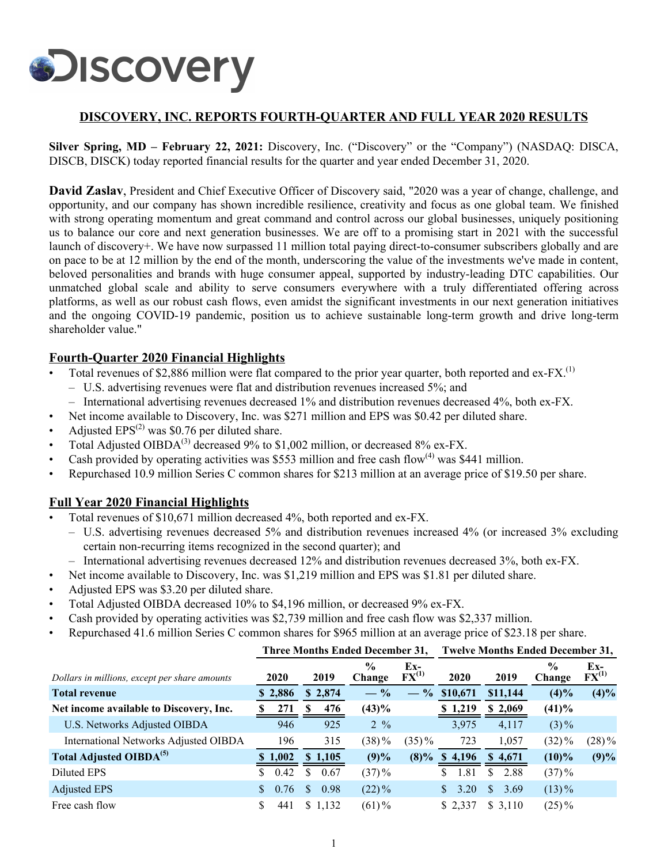

# **DISCOVERY, INC. REPORTS FOURTH-QUARTER AND FULL YEAR 2020 RESULTS**

**Silver Spring, MD – February 22, 2021:** Discovery, Inc. ("Discovery" or the "Company") (NASDAQ: DISCA, DISCB, DISCK) today reported financial results for the quarter and year ended December 31, 2020.

**David Zaslav**, President and Chief Executive Officer of Discovery said, "2020 was a year of change, challenge, and opportunity, and our company has shown incredible resilience, creativity and focus as one global team. We finished with strong operating momentum and great command and control across our global businesses, uniquely positioning us to balance our core and next generation businesses. We are off to a promising start in 2021 with the successful launch of discovery+. We have now surpassed 11 million total paying direct-to-consumer subscribers globally and are on pace to be at 12 million by the end of the month, underscoring the value of the investments we've made in content, beloved personalities and brands with huge consumer appeal, supported by industry-leading DTC capabilities. Our unmatched global scale and ability to serve consumers everywhere with a truly differentiated offering across platforms, as well as our robust cash flows, even amidst the significant investments in our next generation initiatives and the ongoing COVID-19 pandemic, position us to achieve sustainable long-term growth and drive long-term shareholder value."

# **Fourth-Quarter 2020 Financial Highlights**

- Total revenues of \$2,886 million were flat compared to the prior year quarter, both reported and  $ex$ - $FX$ .<sup>(1)</sup>
	- U.S. advertising revenues were flat and distribution revenues increased 5%; and
	- International advertising revenues decreased 1% and distribution revenues decreased 4%, both ex-FX.
- Net income available to Discovery, Inc. was \$271 million and EPS was \$0.42 per diluted share.
- Adjusted  $EPS^{(2)}$  was \$0.76 per diluted share.
- Total Adjusted OIBDA<sup>(3)</sup> decreased 9% to \$1,002 million, or decreased 8% ex-FX.
- Cash provided by operating activities was \$553 million and free cash flow<sup>(4)</sup> was \$441 million.
- Repurchased 10.9 million Series C common shares for \$213 million at an average price of \$19.50 per share.

# **Full Year 2020 Financial Highlights**

- Total revenues of \$10,671 million decreased 4%, both reported and ex-FX.
	- U.S. advertising revenues decreased 5% and distribution revenues increased 4% (or increased 3% excluding certain non-recurring items recognized in the second quarter); and
	- International advertising revenues decreased 12% and distribution revenues decreased 3%, both ex-FX.
- Net income available to Discovery, Inc. was \$1,219 million and EPS was \$1.81 per diluted share.
- Adjusted EPS was \$3.20 per diluted share.
- Total Adjusted OIBDA decreased 10% to \$4,196 million, or decreased 9% ex-FX.
- Cash provided by operating activities was \$2,739 million and free cash flow was \$2,337 million.
- Repurchased 41.6 million Series C common shares for \$965 million at an average price of \$23.18 per share.

|                                               |            |                      | <b>Three Months Ended December 31,</b> |                     | <b>Twelve Months Ended December 31,</b> |            |                         |                   |  |  |  |  |  |  |
|-----------------------------------------------|------------|----------------------|----------------------------------------|---------------------|-----------------------------------------|------------|-------------------------|-------------------|--|--|--|--|--|--|
| Dollars in millions, except per share amounts | 2020       | 2019                 | $\frac{6}{10}$<br>Change               | $Ex-$<br>$FX^{(1)}$ | 2020                                    | 2019       | $\frac{0}{0}$<br>Change | Ex-<br>$FX^{(1)}$ |  |  |  |  |  |  |
| <b>Total revenue</b>                          | \$2,886    | \$2,874              | $-$ %                                  | $-$ %               | \$10,671                                | \$11,144   | $(4)\%$                 | (4)%              |  |  |  |  |  |  |
| Net income available to Discovery, Inc.       | 271        | 476                  | $(43)\%$                               |                     | 1,219                                   | \$2,069    | (41)%                   |                   |  |  |  |  |  |  |
| U.S. Networks Adjusted OIBDA                  | 946        | 925                  | $2 \frac{9}{6}$                        |                     | 3,975                                   | 4,117      | $(3)\%$                 |                   |  |  |  |  |  |  |
| International Networks Adjusted OIBDA         | 196        | 315                  | $(38)\%$                               | $(35)\%$            | 723                                     | 1,057      | $(32)\%$                | $(28)\%$          |  |  |  |  |  |  |
| Total Adjusted OIBDA <sup>(5)</sup>           | 1,002      | \$1,105              | (9)%                                   | $(8)\%$             | \$4,196                                 | \$4,671    | $(10)\%$                | (9)%              |  |  |  |  |  |  |
| Diluted EPS                                   | 0.42<br>S  | \$<br>0.67           | $(37)\%$                               |                     | 1.81<br>S.                              | \$<br>2.88 | $(37) \%$               |                   |  |  |  |  |  |  |
| <b>Adjusted EPS</b>                           | 0.76<br>S. | 0.98<br><sup>S</sup> | $(22)\%$                               |                     | 3.20<br><sup>S</sup>                    | 3.69<br>S. | $(13)\%$                |                   |  |  |  |  |  |  |
| Free cash flow                                | S<br>441   | \$1,132              | $(61) \%$                              |                     | \$2,337                                 | \$3,110    | $(25)\%$                |                   |  |  |  |  |  |  |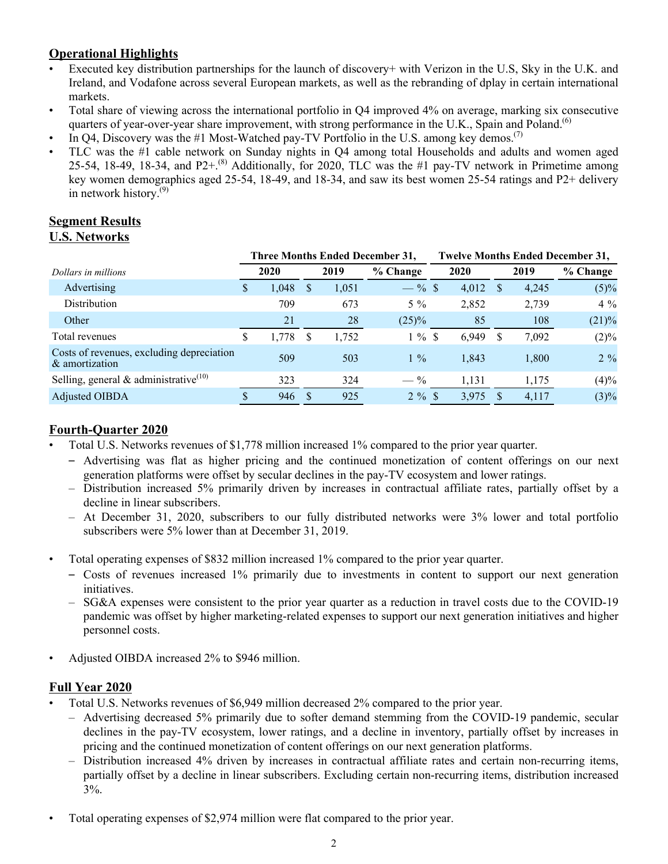# **Operational Highlights**

- Executed key distribution partnerships for the launch of discovery+ with Verizon in the U.S, Sky in the U.K. and Ireland, and Vodafone across several European markets, as well as the rebranding of dplay in certain international markets.
- Total share of viewing across the international portfolio in Q4 improved 4% on average, marking six consecutive quarters of year-over-year share improvement, with strong performance in the U.K., Spain and Poland.<sup>(6)</sup>
- In Q4, Discovery was the #1 Most-Watched pay-TV Portfolio in the U.S. among key demos.<sup>(7)</sup>
- TLC was the #1 cable network on Sunday nights in Q4 among total Households and adults and women aged 25-54, 18-49, 18-34, and P2+.<sup>(8)</sup> Additionally, for 2020, TLC was the #1 pay-TV network in Primetime among key women demographics aged 25-54, 18-49, and 18-34, and saw its best women 25-54 ratings and P2+ delivery in network history. $(9)$

### **Segment Results U.S. Networks**

|                                                             |               |       |    |       | <b>Three Months Ended December 31,</b> |       | <b>Twelve Months Ended December 31,</b> |       |          |
|-------------------------------------------------------------|---------------|-------|----|-------|----------------------------------------|-------|-----------------------------------------|-------|----------|
| Dollars in millions                                         |               | 2020  |    | 2019  | % Change                               | 2020  |                                         | 2019  | % Change |
| Advertising                                                 | <sup>\$</sup> | 1,048 | S  | 1,051 | $-$ % \$                               | 4,012 | S                                       | 4,245 | $(5)\%$  |
| Distribution                                                |               | 709   |    | 673   | $5\%$                                  | 2,852 |                                         | 2,739 | $4\%$    |
| Other                                                       |               | 21    |    | 28    | $(25)\%$                               | 85    |                                         | 108   | $(21)\%$ |
| Total revenues                                              | <sup>S</sup>  | 1.778 | S  | 1,752 | $1\%$ \$                               | 6.949 |                                         | 7,092 | $(2)\%$  |
| Costs of revenues, excluding depreciation<br>& amortization |               | 509   |    | 503   | $1\%$                                  | 1.843 |                                         | 1,800 | $2\%$    |
| Selling, general & administrative <sup>(10)</sup>           |               | 323   |    | 324   | $-$ %                                  | 1,131 |                                         | 1,175 | (4)%     |
| <b>Adjusted OIBDA</b>                                       |               | 946   | -8 | 925   | $2\%$ \$                               | 3.975 |                                         | 4,117 | $(3)\%$  |

# **Fourth-Quarter 2020**

- Total U.S. Networks revenues of \$1,778 million increased 1% compared to the prior year quarter.
	- Advertising was flat as higher pricing and the continued monetization of content offerings on our next generation platforms were offset by secular declines in the pay-TV ecosystem and lower ratings.
	- Distribution increased 5% primarily driven by increases in contractual affiliate rates, partially offset by a decline in linear subscribers.
	- At December 31, 2020, subscribers to our fully distributed networks were 3% lower and total portfolio subscribers were 5% lower than at December 31, 2019.
- Total operating expenses of \$832 million increased 1% compared to the prior year quarter.
	- Costs of revenues increased 1% primarily due to investments in content to support our next generation initiatives.
	- SG&A expenses were consistent to the prior year quarter as a reduction in travel costs due to the COVID-19 pandemic was offset by higher marketing-related expenses to support our next generation initiatives and higher personnel costs.
- Adjusted OIBDA increased 2% to \$946 million.

# **Full Year 2020**

- Total U.S. Networks revenues of \$6,949 million decreased 2% compared to the prior year.
	- Advertising decreased 5% primarily due to softer demand stemming from the COVID-19 pandemic, secular declines in the pay-TV ecosystem, lower ratings, and a decline in inventory, partially offset by increases in pricing and the continued monetization of content offerings on our next generation platforms.
	- Distribution increased 4% driven by increases in contractual affiliate rates and certain non-recurring items, partially offset by a decline in linear subscribers. Excluding certain non-recurring items, distribution increased  $3\%$ .
- Total operating expenses of \$2,974 million were flat compared to the prior year.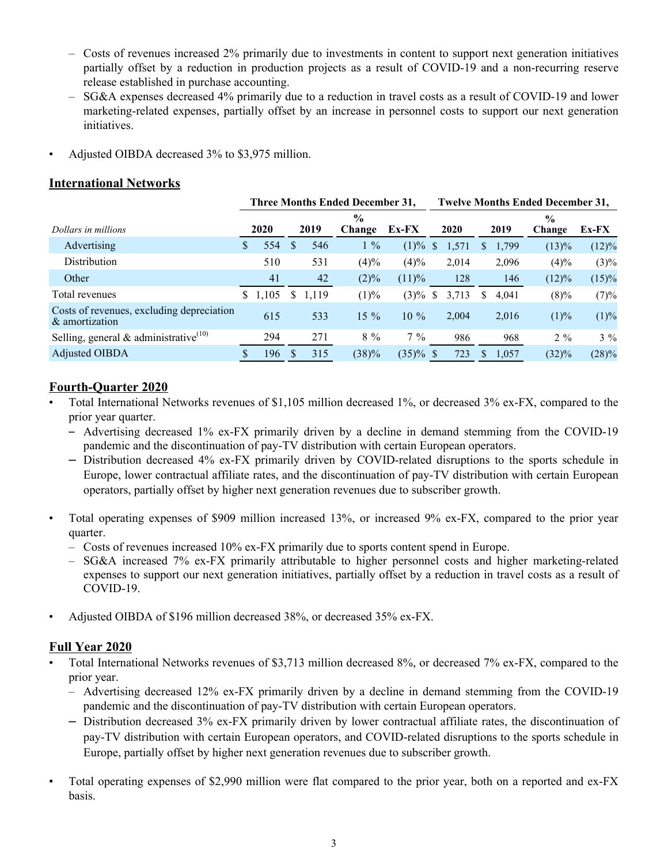- Costs of revenues increased 2% primarily due to investments in content to support next generation initiatives partially offset by a reduction in production projects as a result of COVID-19 and a non-recurring reserve release established in purchase accounting.
- SG&A expenses decreased 4% primarily due to a reduction in travel costs as a result of COVID-19 and lower marketing-related expenses, partially offset by an increase in personnel costs to support our next generation initiatives.
- Adjusted OIBDA decreased 3% to \$3,975 million.

|                                                             |               |       |              |       | <b>Three Months Ended December 31,</b> |             | <b>Twelve Months Ended December 31,</b> |       |              |       |                         |          |  |  |  |
|-------------------------------------------------------------|---------------|-------|--------------|-------|----------------------------------------|-------------|-----------------------------------------|-------|--------------|-------|-------------------------|----------|--|--|--|
| Dollars in millions                                         | 2020          |       |              | 2019  | $\frac{0}{0}$<br>Change                | Ex-FX       |                                         | 2020  |              | 2019  | $\frac{0}{0}$<br>Change | Ex-FX    |  |  |  |
| Advertising                                                 | <sup>\$</sup> | 554   | S            | 546   | $1\%$                                  | (1)%        | S                                       | 1,571 | S.           | 1,799 | $(13)\%$                | $(12)\%$ |  |  |  |
| Distribution                                                |               | 510   |              | 531   | (4)%                                   | $(4)\%$     |                                         | 2,014 |              | 2,096 | (4)%                    | $(3)\%$  |  |  |  |
| Other                                                       |               | 41    |              | 42    | $(2)\%$                                | (11)%       |                                         | 128   |              | 146   | $(12)\%$                | $(15)\%$ |  |  |  |
| Total revenues                                              | S.            | 1,105 | <sup>S</sup> | 1,119 | (1)%                                   | $(3)\%$     | S                                       | 3,713 | S.           | 4.041 | $(8)\%$                 | (7)%     |  |  |  |
| Costs of revenues, excluding depreciation<br>& amortization |               | 615   |              | 533   | $15\%$                                 | $10\%$      |                                         | 2.004 |              | 2,016 | $(1)\%$                 | (1)%     |  |  |  |
| Selling, general & administrative <sup>(10)</sup>           |               | 294   |              | 271   | $8\%$                                  | $7\%$       |                                         | 986   |              | 968   | $2\%$                   | $3\%$    |  |  |  |
| <b>Adjusted OIBDA</b>                                       |               | 196   |              | 315   | $(38)\%$                               | $(35)\%$ \$ |                                         | 723   | <sup>S</sup> | 1,057 | $(32)\%$                | $(28)\%$ |  |  |  |

# **International Networks**

# **Fourth-Quarter 2020**

- Total International Networks revenues of \$1,105 million decreased 1%, or decreased 3% ex-FX, compared to the prior year quarter.
	- Advertising decreased 1% ex-FX primarily driven by a decline in demand stemming from the COVID-19 pandemic and the discontinuation of pay-TV distribution with certain European operators.
	- Distribution decreased 4% ex-FX primarily driven by COVID-related disruptions to the sports schedule in Europe, lower contractual affiliate rates, and the discontinuation of pay-TV distribution with certain European operators, partially offset by higher next generation revenues due to subscriber growth.
- Total operating expenses of \$909 million increased 13%, or increased 9% ex-FX, compared to the prior year quarter.
	- Costs of revenues increased 10% ex-FX primarily due to sports content spend in Europe.
	- SG&A increased 7% ex-FX primarily attributable to higher personnel costs and higher marketing-related expenses to support our next generation initiatives, partially offset by a reduction in travel costs as a result of COVID-19.
- Adjusted OIBDA of \$196 million decreased 38%, or decreased 35% ex-FX.

# **Full Year 2020**

- Total International Networks revenues of \$3,713 million decreased 8%, or decreased 7% ex-FX, compared to the prior year.
	- Advertising decreased 12% ex-FX primarily driven by a decline in demand stemming from the COVID-19 pandemic and the discontinuation of pay-TV distribution with certain European operators.
	- Distribution decreased 3% ex-FX primarily driven by lower contractual affiliate rates, the discontinuation of pay-TV distribution with certain European operators, and COVID-related disruptions to the sports schedule in Europe, partially offset by higher next generation revenues due to subscriber growth.
- Total operating expenses of \$2,990 million were flat compared to the prior year, both on a reported and ex-FX basis.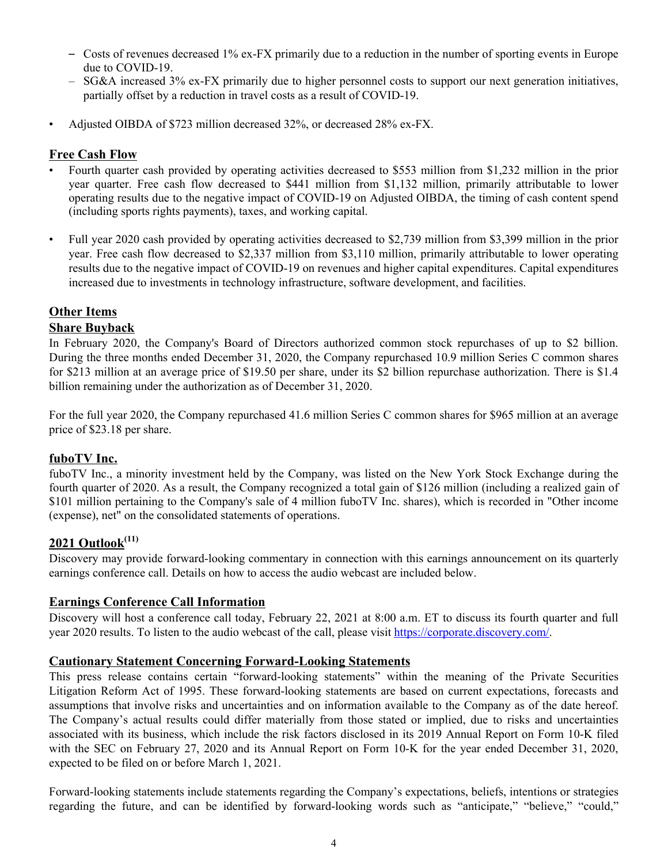- Costs of revenues decreased 1% ex-FX primarily due to a reduction in the number of sporting events in Europe due to COVID-19.
- SG&A increased 3% ex-FX primarily due to higher personnel costs to support our next generation initiatives, partially offset by a reduction in travel costs as a result of COVID-19.
- Adjusted OIBDA of \$723 million decreased 32%, or decreased 28% ex-FX.

# **Free Cash Flow**

- Fourth quarter cash provided by operating activities decreased to \$553 million from \$1,232 million in the prior year quarter. Free cash flow decreased to \$441 million from \$1,132 million, primarily attributable to lower operating results due to the negative impact of COVID-19 on Adjusted OIBDA, the timing of cash content spend (including sports rights payments), taxes, and working capital.
- Full year 2020 cash provided by operating activities decreased to \$2,739 million from \$3,399 million in the prior year. Free cash flow decreased to \$2,337 million from \$3,110 million, primarily attributable to lower operating results due to the negative impact of COVID-19 on revenues and higher capital expenditures. Capital expenditures increased due to investments in technology infrastructure, software development, and facilities.

# **Other Items**

# **Share Buyback**

In February 2020, the Company's Board of Directors authorized common stock repurchases of up to \$2 billion. During the three months ended December 31, 2020, the Company repurchased 10.9 million Series C common shares for \$213 million at an average price of \$19.50 per share, under its \$2 billion repurchase authorization. There is \$1.4 billion remaining under the authorization as of December 31, 2020.

For the full year 2020, the Company repurchased 41.6 million Series C common shares for \$965 million at an average price of \$23.18 per share.

# **fuboTV Inc.**

fuboTV Inc., a minority investment held by the Company, was listed on the New York Stock Exchange during the fourth quarter of 2020. As a result, the Company recognized a total gain of \$126 million (including a realized gain of \$101 million pertaining to the Company's sale of 4 million fuboTV Inc. shares), which is recorded in "Other income (expense), net" on the consolidated statements of operations.

# **2021 Outlook(11)**

Discovery may provide forward-looking commentary in connection with this earnings announcement on its quarterly earnings conference call. Details on how to access the audio webcast are included below.

# **Earnings Conference Call Information**

Discovery will host a conference call today, February 22, 2021 at 8:00 a.m. ET to discuss its fourth quarter and full year 2020 results. To listen to the audio webcast of the call, please visit [https://corporate.discovery.com/.](https://corporate.discovery.com/)

# **Cautionary Statement Concerning Forward-Looking Statements**

This press release contains certain "forward-looking statements" within the meaning of the Private Securities Litigation Reform Act of 1995. These forward-looking statements are based on current expectations, forecasts and assumptions that involve risks and uncertainties and on information available to the Company as of the date hereof. The Company's actual results could differ materially from those stated or implied, due to risks and uncertainties associated with its business, which include the risk factors disclosed in its 2019 Annual Report on Form 10-K filed with the SEC on February 27, 2020 and its Annual Report on Form 10-K for the year ended December 31, 2020, expected to be filed on or before March 1, 2021.

Forward-looking statements include statements regarding the Company's expectations, beliefs, intentions or strategies regarding the future, and can be identified by forward-looking words such as "anticipate," "believe," "could,"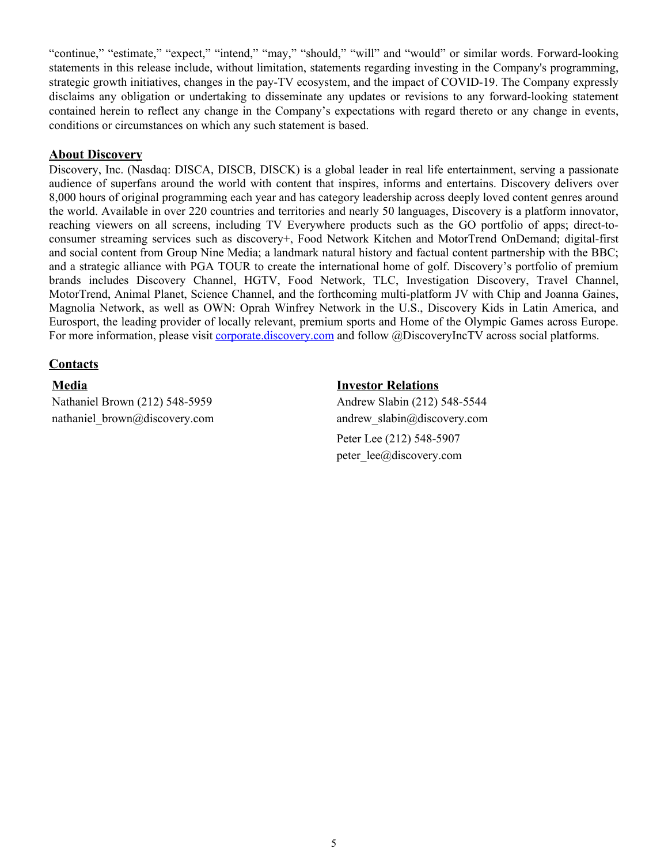"continue," "estimate," "expect," "intend," "may," "should," "will" and "would" or similar words. Forward-looking statements in this release include, without limitation, statements regarding investing in the Company's programming, strategic growth initiatives, changes in the pay-TV ecosystem, and the impact of COVID-19. The Company expressly disclaims any obligation or undertaking to disseminate any updates or revisions to any forward-looking statement contained herein to reflect any change in the Company's expectations with regard thereto or any change in events, conditions or circumstances on which any such statement is based.

### **About Discovery**

Discovery, Inc. (Nasdaq: DISCA, DISCB, DISCK) is a global leader in real life entertainment, serving a passionate audience of superfans around the world with content that inspires, informs and entertains. Discovery delivers over 8,000 hours of original programming each year and has category leadership across deeply loved content genres around the world. Available in over 220 countries and territories and nearly 50 languages, Discovery is a platform innovator, reaching viewers on all screens, including TV Everywhere products such as the GO portfolio of apps; direct-toconsumer streaming services such as discovery+, Food Network Kitchen and MotorTrend OnDemand; digital-first and social content from Group Nine Media; a landmark natural history and factual content partnership with the BBC; and a strategic alliance with PGA TOUR to create the international home of golf. Discovery's portfolio of premium brands includes Discovery Channel, HGTV, Food Network, TLC, Investigation Discovery, Travel Channel, MotorTrend, Animal Planet, Science Channel, and the forthcoming multi-platform JV with Chip and Joanna Gaines, Magnolia Network, as well as OWN: Oprah Winfrey Network in the U.S., Discovery Kids in Latin America, and Eurosport, the leading provider of locally relevant, premium sports and Home of the Olympic Games across Europe. For more information, please visit *[corporate.discovery.com](https://corporate.discovery.com/)* and follow @DiscoveryIncTV across social platforms.

# **Contacts**

# **Media Investor Relations**

nathaniel\_brown@discovery.com andrew\_slabin@discovery.com

Nathaniel Brown (212) 548-5959 Andrew Slabin (212) 548-5544 Peter Lee (212) 548-5907 peter\_lee@discovery.com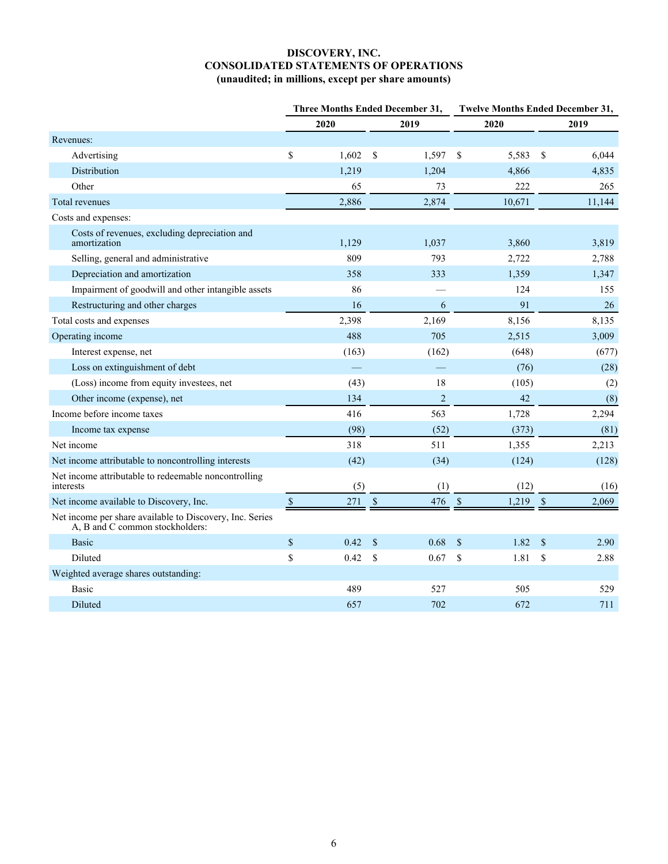#### **DISCOVERY, INC. CONSOLIDATED STATEMENTS OF OPERATIONS (unaudited; in millions, except per share amounts)**

|                                                                                             |              | Three Months Ended December 31, |               |                | <b>Twelve Months Ended December 31,</b> |        |               |        |  |  |  |
|---------------------------------------------------------------------------------------------|--------------|---------------------------------|---------------|----------------|-----------------------------------------|--------|---------------|--------|--|--|--|
|                                                                                             |              | 2020                            |               | 2019           |                                         | 2020   |               | 2019   |  |  |  |
| Revenues:                                                                                   |              |                                 |               |                |                                         |        |               |        |  |  |  |
| Advertising                                                                                 | \$           | 1,602                           | $\mathcal{S}$ | 1,597          | \$                                      | 5,583  | <sup>\$</sup> | 6,044  |  |  |  |
| Distribution                                                                                |              | 1,219                           |               | 1,204          |                                         | 4,866  |               | 4,835  |  |  |  |
| Other                                                                                       |              | 65                              |               | 73             |                                         | 222    |               | 265    |  |  |  |
| Total revenues                                                                              |              | 2,886                           |               | 2,874          |                                         | 10,671 |               | 11,144 |  |  |  |
| Costs and expenses:                                                                         |              |                                 |               |                |                                         |        |               |        |  |  |  |
| Costs of revenues, excluding depreciation and<br>amortization                               |              | 1,129                           |               | 1,037          |                                         | 3,860  |               | 3,819  |  |  |  |
| Selling, general and administrative                                                         |              | 809                             |               | 793            |                                         | 2,722  |               | 2,788  |  |  |  |
| Depreciation and amortization                                                               |              | 358                             |               | 333            |                                         | 1,359  |               | 1,347  |  |  |  |
| Impairment of goodwill and other intangible assets                                          |              | 86                              |               |                |                                         | 124    |               | 155    |  |  |  |
| Restructuring and other charges                                                             |              | 16                              |               | 6              |                                         | 91     |               | 26     |  |  |  |
| Total costs and expenses                                                                    |              | 2,398                           |               | 2,169          |                                         | 8,156  |               | 8,135  |  |  |  |
| Operating income                                                                            |              | 488                             |               | 705            |                                         | 2,515  |               | 3,009  |  |  |  |
| Interest expense, net                                                                       |              | (163)                           |               | (162)          |                                         | (648)  |               | (677)  |  |  |  |
| Loss on extinguishment of debt                                                              |              |                                 |               |                |                                         | (76)   |               | (28)   |  |  |  |
| (Loss) income from equity investees, net                                                    |              | (43)                            |               | 18             |                                         | (105)  |               | (2)    |  |  |  |
| Other income (expense), net                                                                 |              | 134                             |               | $\overline{2}$ |                                         | 42     |               | (8)    |  |  |  |
| Income before income taxes                                                                  |              | 416                             |               | 563            |                                         | 1,728  |               | 2,294  |  |  |  |
| Income tax expense                                                                          |              | (98)                            |               | (52)           |                                         | (373)  |               | (81)   |  |  |  |
| Net income                                                                                  |              | 318                             |               | 511            |                                         | 1,355  |               | 2,213  |  |  |  |
| Net income attributable to noncontrolling interests                                         |              | (42)                            |               | (34)           |                                         | (124)  |               | (128)  |  |  |  |
| Net income attributable to redeemable noncontrolling<br>interests                           |              | (5)                             |               | (1)            |                                         | (12)   |               | (16)   |  |  |  |
| Net income available to Discovery, Inc.                                                     | $\mathbb{S}$ | 271                             | $\mathbb S$   | 476            | $\sqrt{\ }$                             | 1,219  | $\mathbb{S}$  | 2,069  |  |  |  |
| Net income per share available to Discovery, Inc. Series<br>A, B and C common stockholders: |              |                                 |               |                |                                         |        |               |        |  |  |  |
| <b>Basic</b>                                                                                | $\mathbf S$  | 0.42                            | $\mathbf S$   | 0.68           | $\mathbf S$                             | 1.82   | $\mathbf S$   | 2.90   |  |  |  |
| Diluted                                                                                     | \$           | 0.42                            | \$            | 0.67           | \$                                      | 1.81   | \$            | 2.88   |  |  |  |
| Weighted average shares outstanding:                                                        |              |                                 |               |                |                                         |        |               |        |  |  |  |
| <b>Basic</b>                                                                                |              | 489                             |               | 527            |                                         | 505    |               | 529    |  |  |  |
| Diluted                                                                                     |              | 657                             |               | 702            |                                         | 672    |               | 711    |  |  |  |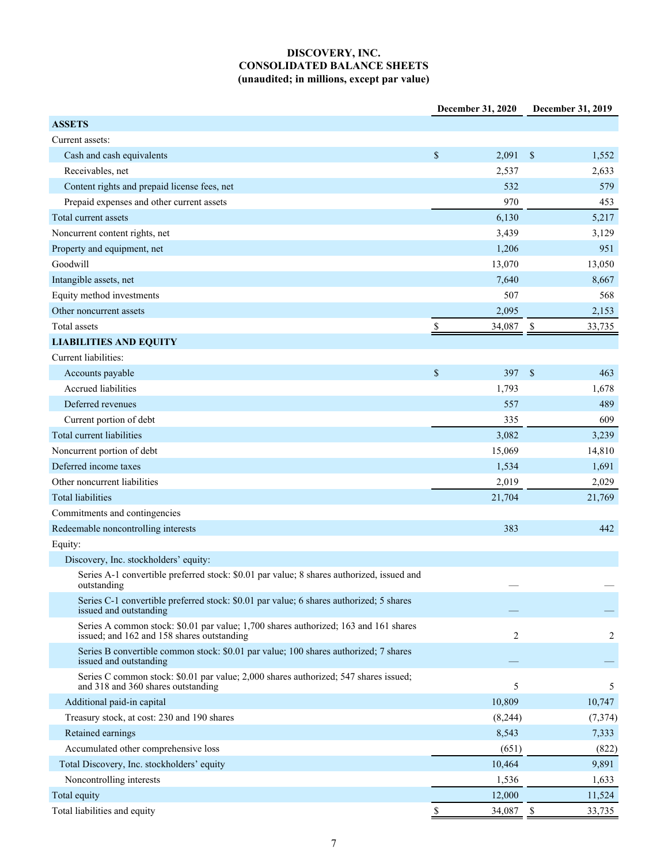#### **DISCOVERY, INC. CONSOLIDATED BALANCE SHEETS (unaudited; in millions, except par value)**

|                                                                                                                                    |               | December 31, 2020 |                           | December 31, 2019 |
|------------------------------------------------------------------------------------------------------------------------------------|---------------|-------------------|---------------------------|-------------------|
| <b>ASSETS</b>                                                                                                                      |               |                   |                           |                   |
| Current assets:                                                                                                                    |               |                   |                           |                   |
| Cash and cash equivalents                                                                                                          | \$            | 2,091             | $\mathbf{\$}$             | 1,552             |
| Receivables, net                                                                                                                   |               | 2,537             |                           | 2,633             |
| Content rights and prepaid license fees, net                                                                                       |               | 532               |                           | 579               |
| Prepaid expenses and other current assets                                                                                          |               | 970               |                           | 453               |
| Total current assets                                                                                                               |               | 6,130             |                           | 5,217             |
| Noncurrent content rights, net                                                                                                     |               | 3,439             |                           | 3,129             |
| Property and equipment, net                                                                                                        |               | 1,206             |                           | 951               |
| Goodwill                                                                                                                           |               | 13,070            |                           | 13,050            |
| Intangible assets, net                                                                                                             |               | 7,640             |                           | 8,667             |
| Equity method investments                                                                                                          |               | 507               |                           | 568               |
| Other noncurrent assets                                                                                                            |               | 2,095             |                           | 2,153             |
| Total assets                                                                                                                       | $\frac{1}{2}$ | 34,087            | $\boldsymbol{\mathsf{S}}$ | 33,735            |
| <b>LIABILITIES AND EQUITY</b>                                                                                                      |               |                   |                           |                   |
| Current liabilities:                                                                                                               |               |                   |                           |                   |
| Accounts payable                                                                                                                   | \$            | 397               | \$                        | 463               |
| <b>Accrued liabilities</b>                                                                                                         |               | 1,793             |                           | 1,678             |
| Deferred revenues                                                                                                                  |               | 557               |                           | 489               |
| Current portion of debt                                                                                                            |               | 335               |                           | 609               |
| Total current liabilities                                                                                                          |               | 3,082             |                           | 3,239             |
| Noncurrent portion of debt                                                                                                         |               | 15,069            |                           | 14,810            |
| Deferred income taxes                                                                                                              |               | 1,534             |                           | 1,691             |
| Other noncurrent liabilities                                                                                                       |               | 2,019             |                           | 2,029             |
| <b>Total liabilities</b>                                                                                                           |               | 21,704            |                           | 21,769            |
| Commitments and contingencies                                                                                                      |               |                   |                           |                   |
| Redeemable noncontrolling interests                                                                                                |               | 383               |                           | 442               |
| Equity:                                                                                                                            |               |                   |                           |                   |
| Discovery, Inc. stockholders' equity:                                                                                              |               |                   |                           |                   |
| Series A-1 convertible preferred stock: \$0.01 par value; 8 shares authorized, issued and<br>outstanding                           |               |                   |                           |                   |
| Series C-1 convertible preferred stock: \$0.01 par value; 6 shares authorized; 5 shares<br>issued and outstanding                  |               |                   |                           |                   |
| Series A common stock: \$0.01 par value; 1,700 shares authorized; 163 and 161 shares<br>issued; and 162 and 158 shares outstanding |               | 2                 |                           | 2                 |
| Series B convertible common stock: \$0.01 par value; 100 shares authorized; 7 shares<br>issued and outstanding                     |               |                   |                           |                   |
| Series C common stock: \$0.01 par value; 2,000 shares authorized; 547 shares issued;<br>and 318 and 360 shares outstanding         |               | 5                 |                           | 5                 |
| Additional paid-in capital                                                                                                         |               | 10,809            |                           | 10,747            |
| Treasury stock, at cost: 230 and 190 shares                                                                                        |               | (8,244)           |                           | (7,374)           |
| Retained earnings                                                                                                                  |               | 8,543             |                           | 7,333             |
| Accumulated other comprehensive loss                                                                                               |               | (651)             |                           | (822)             |
| Total Discovery, Inc. stockholders' equity                                                                                         |               | 10,464            |                           | 9,891             |
| Noncontrolling interests                                                                                                           |               | 1,536             |                           | 1,633             |
| Total equity                                                                                                                       |               | 12,000            |                           | 11,524            |
| Total liabilities and equity                                                                                                       | \$            | 34,087 \$         |                           | 33,735            |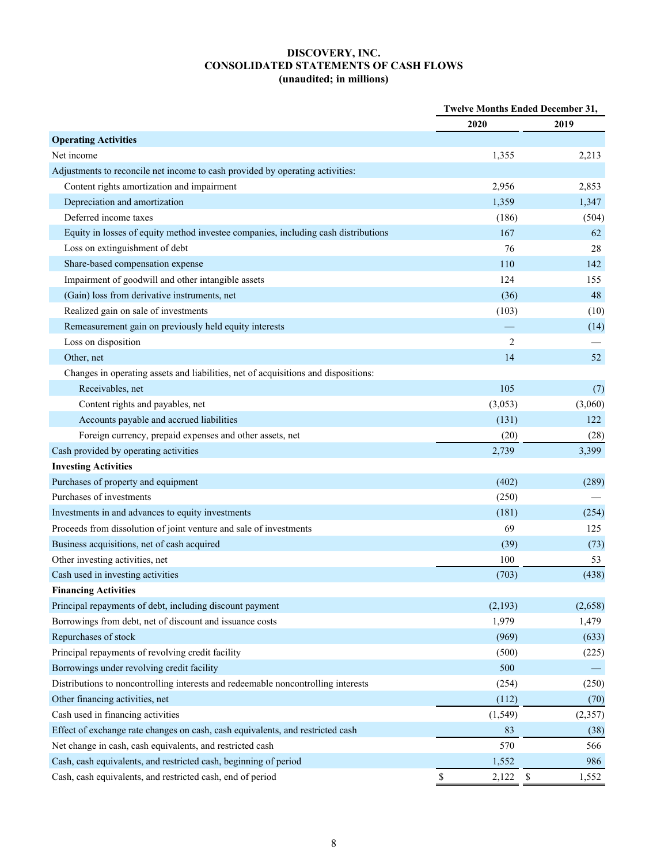#### **DISCOVERY, INC. CONSOLIDATED STATEMENTS OF CASH FLOWS (unaudited; in millions)**

|                                                                                    | <b>Twelve Months Ended December 31,</b> |         |  |  |  |  |  |  |
|------------------------------------------------------------------------------------|-----------------------------------------|---------|--|--|--|--|--|--|
|                                                                                    | 2020                                    | 2019    |  |  |  |  |  |  |
| <b>Operating Activities</b>                                                        |                                         |         |  |  |  |  |  |  |
| Net income                                                                         | 1,355                                   | 2,213   |  |  |  |  |  |  |
| Adjustments to reconcile net income to cash provided by operating activities:      |                                         |         |  |  |  |  |  |  |
| Content rights amortization and impairment                                         | 2,956                                   | 2,853   |  |  |  |  |  |  |
| Depreciation and amortization                                                      | 1,359                                   | 1,347   |  |  |  |  |  |  |
| Deferred income taxes                                                              | (186)                                   | (504)   |  |  |  |  |  |  |
| Equity in losses of equity method investee companies, including cash distributions | 167                                     | 62      |  |  |  |  |  |  |
| Loss on extinguishment of debt                                                     | 76                                      | 28      |  |  |  |  |  |  |
| Share-based compensation expense                                                   | 110                                     | 142     |  |  |  |  |  |  |
| Impairment of goodwill and other intangible assets                                 | 124                                     | 155     |  |  |  |  |  |  |
| (Gain) loss from derivative instruments, net                                       | (36)                                    | 48      |  |  |  |  |  |  |
| Realized gain on sale of investments                                               | (103)                                   | (10)    |  |  |  |  |  |  |
| Remeasurement gain on previously held equity interests                             |                                         | (14)    |  |  |  |  |  |  |
| Loss on disposition                                                                | $\overline{c}$                          |         |  |  |  |  |  |  |
| Other, net                                                                         | 14                                      | 52      |  |  |  |  |  |  |
| Changes in operating assets and liabilities, net of acquisitions and dispositions: |                                         |         |  |  |  |  |  |  |
| Receivables, net                                                                   | 105                                     | (7)     |  |  |  |  |  |  |
| Content rights and payables, net                                                   | (3,053)                                 | (3,060) |  |  |  |  |  |  |
| Accounts payable and accrued liabilities                                           | (131)                                   | 122     |  |  |  |  |  |  |
| Foreign currency, prepaid expenses and other assets, net                           | (20)                                    | (28)    |  |  |  |  |  |  |
| Cash provided by operating activities                                              | 2,739                                   | 3,399   |  |  |  |  |  |  |
| <b>Investing Activities</b>                                                        |                                         |         |  |  |  |  |  |  |
| Purchases of property and equipment                                                | (402)                                   | (289)   |  |  |  |  |  |  |
| Purchases of investments                                                           | (250)                                   |         |  |  |  |  |  |  |
| Investments in and advances to equity investments                                  | (181)                                   | (254)   |  |  |  |  |  |  |
| Proceeds from dissolution of joint venture and sale of investments                 | 69                                      | 125     |  |  |  |  |  |  |
| Business acquisitions, net of cash acquired                                        | (39)                                    | (73)    |  |  |  |  |  |  |
| Other investing activities, net                                                    | 100                                     | 53      |  |  |  |  |  |  |
| Cash used in investing activities                                                  | (703)                                   | (438)   |  |  |  |  |  |  |
| <b>Financing Activities</b>                                                        |                                         |         |  |  |  |  |  |  |
| Principal repayments of debt, including discount payment                           | (2,193)                                 | (2,658) |  |  |  |  |  |  |
| Borrowings from debt, net of discount and issuance costs                           | 1,979                                   | 1,479   |  |  |  |  |  |  |
| Repurchases of stock                                                               | (969)                                   | (633)   |  |  |  |  |  |  |
| Principal repayments of revolving credit facility                                  | (500)                                   | (225)   |  |  |  |  |  |  |
| Borrowings under revolving credit facility                                         | 500                                     |         |  |  |  |  |  |  |
| Distributions to noncontrolling interests and redeemable noncontrolling interests  | (254)                                   | (250)   |  |  |  |  |  |  |
| Other financing activities, net                                                    | (112)                                   | (70)    |  |  |  |  |  |  |
| Cash used in financing activities                                                  | (1, 549)                                | (2,357) |  |  |  |  |  |  |
| Effect of exchange rate changes on cash, cash equivalents, and restricted cash     | 83                                      | (38)    |  |  |  |  |  |  |
| Net change in cash, cash equivalents, and restricted cash                          | 570                                     | 566     |  |  |  |  |  |  |
| Cash, cash equivalents, and restricted cash, beginning of period                   | 1,552                                   | 986     |  |  |  |  |  |  |
| Cash, cash equivalents, and restricted cash, end of period                         | \$<br>$2,122$ \$                        | 1,552   |  |  |  |  |  |  |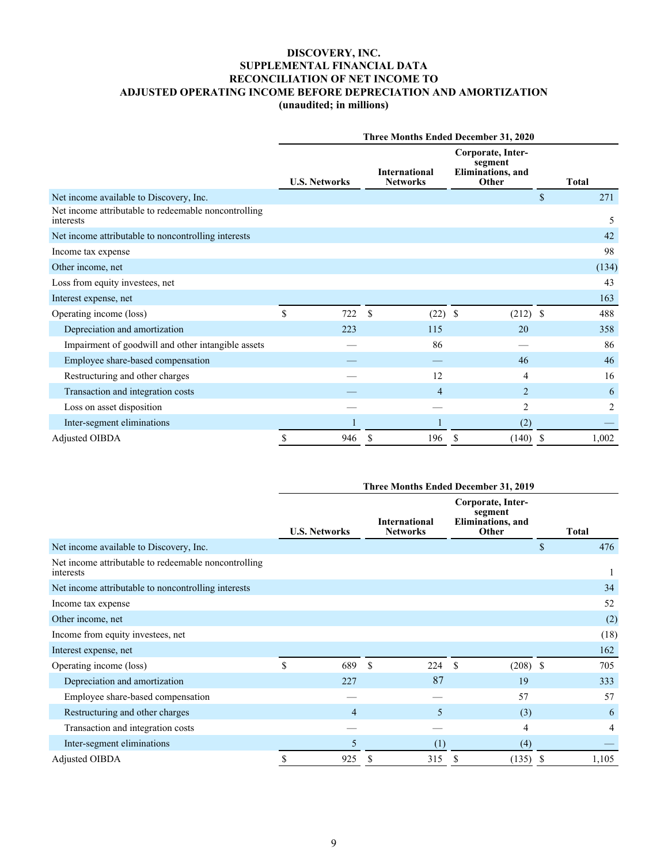#### **DISCOVERY, INC. SUPPLEMENTAL FINANCIAL DATA RECONCILIATION OF NET INCOME TO ADJUSTED OPERATING INCOME BEFORE DEPRECIATION AND AMORTIZATION (unaudited; in millions)**

|                                                                   | <b>Three Months Ended December 31, 2020</b>                     |     |               |      |               |                                                                    |    |              |  |  |  |  |  |
|-------------------------------------------------------------------|-----------------------------------------------------------------|-----|---------------|------|---------------|--------------------------------------------------------------------|----|--------------|--|--|--|--|--|
|                                                                   | <b>International</b><br><b>U.S. Networks</b><br><b>Networks</b> |     |               |      |               | Corporate, Inter-<br>segment<br><b>Eliminations</b> , and<br>Other |    | <b>Total</b> |  |  |  |  |  |
| Net income available to Discovery, Inc.                           |                                                                 |     |               |      |               |                                                                    | \$ | 271          |  |  |  |  |  |
| Net income attributable to redeemable noncontrolling<br>interests |                                                                 |     |               |      |               |                                                                    |    | 5            |  |  |  |  |  |
| Net income attributable to noncontrolling interests               |                                                                 |     |               |      |               |                                                                    |    | 42           |  |  |  |  |  |
| Income tax expense                                                |                                                                 |     |               |      |               |                                                                    |    | 98           |  |  |  |  |  |
| Other income, net                                                 |                                                                 |     |               |      |               |                                                                    |    | (134)        |  |  |  |  |  |
| Loss from equity investees, net                                   |                                                                 |     |               |      |               |                                                                    |    | 43           |  |  |  |  |  |
| Interest expense, net                                             |                                                                 |     |               |      |               |                                                                    |    | 163          |  |  |  |  |  |
| Operating income (loss)                                           | $\mathbf S$                                                     | 722 | <sup>\$</sup> | (22) | $\mathcal{S}$ | $(212)$ \$                                                         |    | 488          |  |  |  |  |  |
| Depreciation and amortization                                     |                                                                 | 223 |               | 115  |               | 20                                                                 |    | 358          |  |  |  |  |  |
| Impairment of goodwill and other intangible assets                |                                                                 |     |               | 86   |               |                                                                    |    | 86           |  |  |  |  |  |
| Employee share-based compensation                                 |                                                                 |     |               |      |               | 46                                                                 |    | 46           |  |  |  |  |  |
| Restructuring and other charges                                   |                                                                 |     |               | 12   |               | 4                                                                  |    | 16           |  |  |  |  |  |
| Transaction and integration costs                                 |                                                                 |     |               | 4    |               | $\overline{2}$                                                     |    | 6            |  |  |  |  |  |
| Loss on asset disposition                                         |                                                                 |     |               |      |               | $\overline{2}$                                                     |    | 2            |  |  |  |  |  |
| Inter-segment eliminations                                        |                                                                 |     |               |      |               | (2)                                                                |    |              |  |  |  |  |  |
| Adjusted OIBDA                                                    | \$                                                              | 946 | S             | 196  | <sup>\$</sup> | $(140)$ \$                                                         |    | 1,002        |  |  |  |  |  |

|                                                                   | Three Months Ended December 31, 2019 |                      |    |                                         |                                                                    |            |             |              |  |  |  |  |  |
|-------------------------------------------------------------------|--------------------------------------|----------------------|----|-----------------------------------------|--------------------------------------------------------------------|------------|-------------|--------------|--|--|--|--|--|
|                                                                   |                                      | <b>U.S. Networks</b> |    | <b>International</b><br><b>Networks</b> | Corporate, Inter-<br>segment<br><b>Eliminations</b> , and<br>Other |            |             | <b>Total</b> |  |  |  |  |  |
| Net income available to Discovery, Inc.                           |                                      |                      |    |                                         |                                                                    |            | $\mathbf S$ | 476          |  |  |  |  |  |
| Net income attributable to redeemable noncontrolling<br>interests |                                      |                      |    |                                         |                                                                    |            |             |              |  |  |  |  |  |
| Net income attributable to noncontrolling interests               |                                      |                      |    |                                         |                                                                    |            |             | 34           |  |  |  |  |  |
| Income tax expense                                                |                                      |                      |    |                                         |                                                                    |            |             | 52           |  |  |  |  |  |
| Other income, net                                                 |                                      |                      |    |                                         |                                                                    |            |             | (2)          |  |  |  |  |  |
| Income from equity investees, net                                 |                                      |                      |    |                                         |                                                                    |            |             | (18)         |  |  |  |  |  |
| Interest expense, net                                             |                                      |                      |    |                                         |                                                                    |            |             | 162          |  |  |  |  |  |
| Operating income (loss)                                           | \$                                   | 689                  | \$ | 224                                     | \$.                                                                | $(208)$ \$ |             | 705          |  |  |  |  |  |
| Depreciation and amortization                                     |                                      | 227                  |    | 87                                      |                                                                    | 19         |             | 333          |  |  |  |  |  |
| Employee share-based compensation                                 |                                      |                      |    |                                         |                                                                    | 57         |             | 57           |  |  |  |  |  |
| Restructuring and other charges                                   |                                      | $\overline{4}$       |    | 5                                       |                                                                    | (3)        |             | 6            |  |  |  |  |  |
| Transaction and integration costs                                 |                                      |                      |    |                                         |                                                                    | 4          |             | 4            |  |  |  |  |  |
| Inter-segment eliminations                                        |                                      | 5                    |    | (1)                                     |                                                                    | (4)        |             |              |  |  |  |  |  |
| Adjusted OIBDA                                                    | \$                                   | 925                  | \$ | 315                                     | <sup>\$</sup>                                                      | $(135)$ \$ |             | 1,105        |  |  |  |  |  |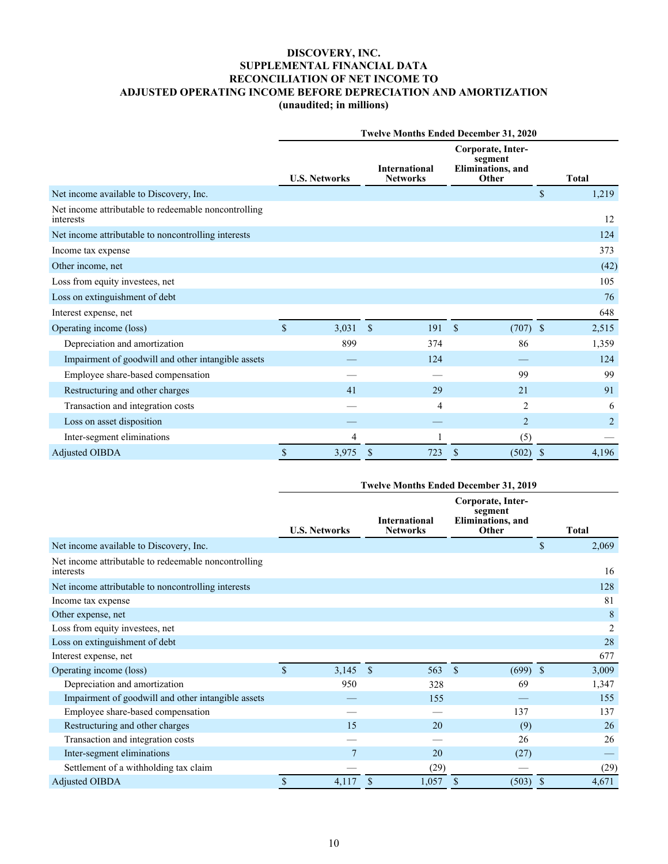#### **DISCOVERY, INC. SUPPLEMENTAL FINANCIAL DATA RECONCILIATION OF NET INCOME TO ADJUSTED OPERATING INCOME BEFORE DEPRECIATION AND AMORTIZATION (unaudited; in millions)**

|                                                                   | <b>Twelve Months Ended December 31, 2020</b> |                      |                    |                                         |               |                                                            |             |                |  |  |  |  |  |
|-------------------------------------------------------------------|----------------------------------------------|----------------------|--------------------|-----------------------------------------|---------------|------------------------------------------------------------|-------------|----------------|--|--|--|--|--|
|                                                                   |                                              | <b>U.S. Networks</b> |                    | <b>International</b><br><b>Networks</b> |               | Corporate, Inter-<br>segment<br>Eliminations, and<br>Other |             | <b>Total</b>   |  |  |  |  |  |
| Net income available to Discovery, Inc.                           |                                              |                      |                    |                                         |               |                                                            | $\mathbf S$ | 1,219          |  |  |  |  |  |
| Net income attributable to redeemable noncontrolling<br>interests |                                              |                      |                    |                                         |               |                                                            |             | 12             |  |  |  |  |  |
| Net income attributable to noncontrolling interests               |                                              |                      |                    |                                         |               |                                                            |             | 124            |  |  |  |  |  |
| Income tax expense                                                |                                              |                      |                    |                                         |               |                                                            |             | 373            |  |  |  |  |  |
| Other income, net                                                 |                                              |                      |                    |                                         |               |                                                            |             | (42)           |  |  |  |  |  |
| Loss from equity investees, net                                   |                                              |                      |                    |                                         |               |                                                            |             | 105            |  |  |  |  |  |
| Loss on extinguishment of debt                                    |                                              |                      |                    |                                         |               |                                                            |             | 76             |  |  |  |  |  |
| Interest expense, net                                             |                                              |                      |                    |                                         |               |                                                            |             | 648            |  |  |  |  |  |
| Operating income (loss)                                           | $\mathbf S$                                  | 3,031                | $\mathbf S$        | 191                                     | $\mathbf S$   | $(707)$ \$                                                 |             | 2,515          |  |  |  |  |  |
| Depreciation and amortization                                     |                                              | 899                  |                    | 374                                     |               | 86                                                         |             | 1,359          |  |  |  |  |  |
| Impairment of goodwill and other intangible assets                |                                              |                      |                    | 124                                     |               |                                                            |             | 124            |  |  |  |  |  |
| Employee share-based compensation                                 |                                              |                      |                    |                                         |               | 99                                                         |             | 99             |  |  |  |  |  |
| Restructuring and other charges                                   |                                              | 41                   |                    | 29                                      |               | 21                                                         |             | 91             |  |  |  |  |  |
| Transaction and integration costs                                 |                                              |                      |                    | 4                                       |               | $\overline{2}$                                             |             | 6              |  |  |  |  |  |
| Loss on asset disposition                                         |                                              |                      |                    |                                         |               | $\overline{2}$                                             |             | $\overline{2}$ |  |  |  |  |  |
| Inter-segment eliminations                                        |                                              | 4                    |                    |                                         |               | (5)                                                        |             |                |  |  |  |  |  |
| <b>Adjusted OIBDA</b>                                             | \$                                           | 3,975                | $\mathbf{\hat{S}}$ | 723                                     | $\mathbf{\$}$ | $(502)$ \$                                                 |             | 4,196          |  |  |  |  |  |

|                                                                          |               |                      |               |                                         |               | <b>Twelve Months Ended December 31, 2019</b>                       |    |                |
|--------------------------------------------------------------------------|---------------|----------------------|---------------|-----------------------------------------|---------------|--------------------------------------------------------------------|----|----------------|
|                                                                          |               | <b>U.S. Networks</b> |               | <b>International</b><br><b>Networks</b> |               | Corporate, Inter-<br>segment<br><b>Eliminations</b> , and<br>Other |    | <b>Total</b>   |
| Net income available to Discovery, Inc.                                  |               |                      |               |                                         |               |                                                                    | \$ | 2,069          |
| Net income attributable to redeemable noncontrolling<br><i>interests</i> |               |                      |               |                                         |               |                                                                    |    | 16             |
| Net income attributable to noncontrolling interests                      |               |                      |               |                                         |               |                                                                    |    | 128            |
| Income tax expense                                                       |               |                      |               |                                         |               |                                                                    |    | 81             |
| Other expense, net                                                       |               |                      |               |                                         |               |                                                                    |    | 8              |
| Loss from equity investees, net                                          |               |                      |               |                                         |               |                                                                    |    | $\overline{2}$ |
| Loss on extinguishment of debt                                           |               |                      |               |                                         |               |                                                                    |    | 28             |
| Interest expense, net                                                    |               |                      |               |                                         |               |                                                                    |    | 677            |
| Operating income (loss)                                                  | $\mathbf{\$}$ | 3,145                | - \$          | 563                                     | $\mathbf{s}$  | $(699)$ \$                                                         |    | 3,009          |
| Depreciation and amortization                                            |               | 950                  |               | 328                                     |               | 69                                                                 |    | 1,347          |
| Impairment of goodwill and other intangible assets                       |               |                      |               | 155                                     |               |                                                                    |    | 155            |
| Employee share-based compensation                                        |               |                      |               |                                         |               | 137                                                                |    | 137            |
| Restructuring and other charges                                          |               | 15                   |               | 20                                      |               | (9)                                                                |    | 26             |
| Transaction and integration costs                                        |               |                      |               |                                         |               | 26                                                                 |    | 26             |
| Inter-segment eliminations                                               |               |                      |               | 20                                      |               | (27)                                                               |    |                |
| Settlement of a withholding tax claim                                    |               |                      |               | (29)                                    |               |                                                                    |    | (29)           |
| <b>Adjusted OIBDA</b>                                                    | \$            | 4,117                | <sup>\$</sup> | 1,057                                   | <sup>\$</sup> | (503)                                                              | -S | 4,671          |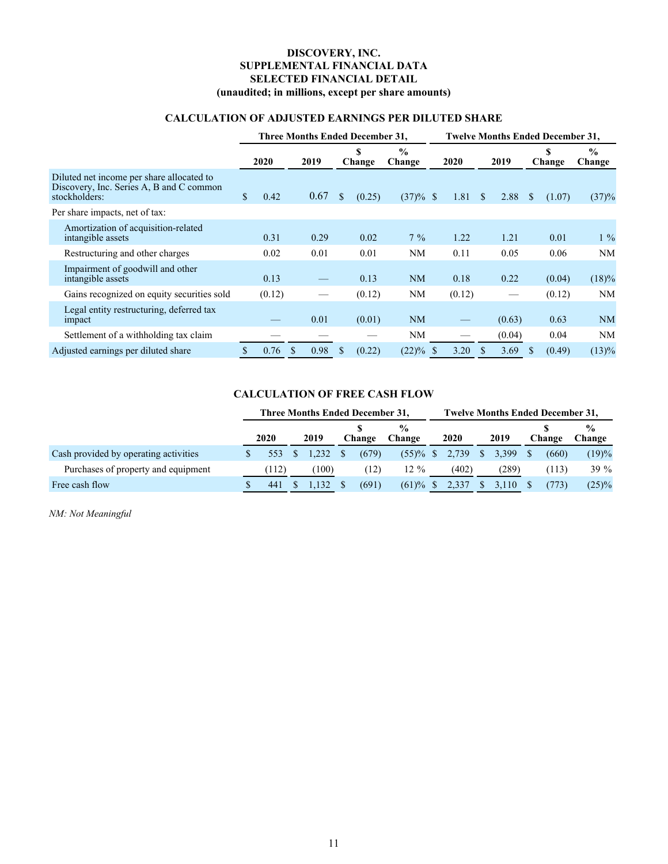#### **DISCOVERY, INC. SUPPLEMENTAL FINANCIAL DATA SELECTED FINANCIAL DETAIL (unaudited; in millions, except per share amounts)**

#### **CALCULATION OF ADJUSTED EARNINGS PER DILUTED SHARE**

|                                                                                                        |              |        |      |    | <b>Three Months Ended December 31,</b> |                         |              | <b>Twelve Months Ended December 31,</b> |        |              |        |              |        |                         |  |  |
|--------------------------------------------------------------------------------------------------------|--------------|--------|------|----|----------------------------------------|-------------------------|--------------|-----------------------------------------|--------|--------------|--------|--------------|--------|-------------------------|--|--|
|                                                                                                        | 2020         |        | 2019 |    | S<br>Change                            | $\frac{0}{0}$<br>Change |              | 2020                                    |        | 2019         |        | \$<br>Change |        | $\frac{0}{0}$<br>Change |  |  |
| Diluted net income per share allocated to<br>Discovery, Inc. Series A, B and C common<br>stockholders: | $\mathbf{s}$ | 0.42   | 0.67 | \$ | (0.25)                                 |                         | $(37) \%$ \$ |                                         | 1.81   | $\mathbb{S}$ | 2.88   | $\mathbb{S}$ | (1.07) | (37)%                   |  |  |
| Per share impacts, net of tax:                                                                         |              |        |      |    |                                        |                         |              |                                         |        |              |        |              |        |                         |  |  |
| Amortization of acquisition-related<br>intangible assets                                               |              | 0.31   | 0.29 |    | 0.02                                   |                         | $7\%$        |                                         | 1.22   |              | 1.21   |              | 0.01   | $1\%$                   |  |  |
| Restructuring and other charges                                                                        |              | 0.02   | 0.01 |    | 0.01                                   |                         | NM           |                                         | 0.11   |              | 0.05   |              | 0.06   | <b>NM</b>               |  |  |
| Impairment of goodwill and other<br>intangible assets                                                  |              | 0.13   |      |    | 0.13                                   |                         | NM           |                                         | 0.18   |              | 0.22   |              | (0.04) | (18)%                   |  |  |
| Gains recognized on equity securities sold                                                             |              | (0.12) |      |    | (0.12)                                 |                         | <b>NM</b>    |                                         | (0.12) |              |        |              | (0.12) | NM                      |  |  |
| Legal entity restructuring, deferred tax<br>impact                                                     |              |        | 0.01 |    | (0.01)                                 |                         | NM           |                                         |        |              | (0.63) |              | 0.63   | <b>NM</b>               |  |  |
| Settlement of a withholding tax claim                                                                  |              |        |      |    |                                        |                         | NM           |                                         |        |              | (0.04) |              | 0.04   | NM                      |  |  |
| Adjusted earnings per diluted share                                                                    | S            | 0.76   | 0.98 | \$ | (0.22)                                 |                         | $(22)\%$ \$  |                                         | 3.20   |              | 3.69   | \$           | (0.49) | $(13)\%$                |  |  |

# **CALCULATION OF FREE CASH FLOW**

|                                       |      |  |       |  | <b>Three Months Ended December 31,</b> |                          | <b>Twelve Months Ended December 31,</b> |       |              |       |  |        |                         |  |  |
|---------------------------------------|------|--|-------|--|----------------------------------------|--------------------------|-----------------------------------------|-------|--------------|-------|--|--------|-------------------------|--|--|
|                                       | 2020 |  | 2019  |  | Change                                 | $\frac{6}{10}$<br>Change | 2020                                    |       | 2019         |       |  | Change | $\frac{0}{0}$<br>Change |  |  |
| Cash provided by operating activities | 553  |  | 232   |  | (679)                                  | $(55) \%$ \$             |                                         | 2,739 | $\mathbb{S}$ | 3.399 |  | (660)  | (19)%                   |  |  |
| Purchases of property and equipment   | 112) |  | (100) |  | (12)                                   | $12\%$                   |                                         | (402) |              | (289) |  | (113)  | 39%                     |  |  |
| Free cash flow                        | 441  |  | 132   |  | (691)                                  | $(61) \%$ \$             |                                         | 2.337 |              | 10    |  | (773)  | (25)%                   |  |  |

*NM: Not Meaningful*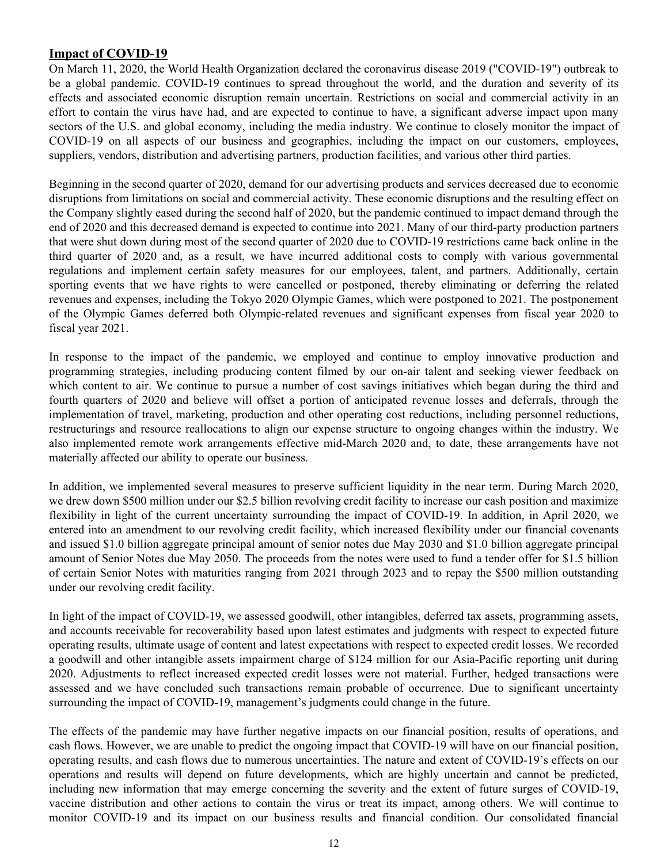# **Impact of COVID-19**

On March 11, 2020, the World Health Organization declared the coronavirus disease 2019 ("COVID-19") outbreak to be a global pandemic. COVID-19 continues to spread throughout the world, and the duration and severity of its effects and associated economic disruption remain uncertain. Restrictions on social and commercial activity in an effort to contain the virus have had, and are expected to continue to have, a significant adverse impact upon many sectors of the U.S. and global economy, including the media industry. We continue to closely monitor the impact of COVID-19 on all aspects of our business and geographies, including the impact on our customers, employees, suppliers, vendors, distribution and advertising partners, production facilities, and various other third parties.

Beginning in the second quarter of 2020, demand for our advertising products and services decreased due to economic disruptions from limitations on social and commercial activity. These economic disruptions and the resulting effect on the Company slightly eased during the second half of 2020, but the pandemic continued to impact demand through the end of 2020 and this decreased demand is expected to continue into 2021. Many of our third-party production partners that were shut down during most of the second quarter of 2020 due to COVID-19 restrictions came back online in the third quarter of 2020 and, as a result, we have incurred additional costs to comply with various governmental regulations and implement certain safety measures for our employees, talent, and partners. Additionally, certain sporting events that we have rights to were cancelled or postponed, thereby eliminating or deferring the related revenues and expenses, including the Tokyo 2020 Olympic Games, which were postponed to 2021. The postponement of the Olympic Games deferred both Olympic-related revenues and significant expenses from fiscal year 2020 to fiscal year 2021.

In response to the impact of the pandemic, we employed and continue to employ innovative production and programming strategies, including producing content filmed by our on-air talent and seeking viewer feedback on which content to air. We continue to pursue a number of cost savings initiatives which began during the third and fourth quarters of 2020 and believe will offset a portion of anticipated revenue losses and deferrals, through the implementation of travel, marketing, production and other operating cost reductions, including personnel reductions, restructurings and resource reallocations to align our expense structure to ongoing changes within the industry. We also implemented remote work arrangements effective mid-March 2020 and, to date, these arrangements have not materially affected our ability to operate our business.

In addition, we implemented several measures to preserve sufficient liquidity in the near term. During March 2020, we drew down \$500 million under our \$2.5 billion revolving credit facility to increase our cash position and maximize flexibility in light of the current uncertainty surrounding the impact of COVID-19. In addition, in April 2020, we entered into an amendment to our revolving credit facility, which increased flexibility under our financial covenants and issued \$1.0 billion aggregate principal amount of senior notes due May 2030 and \$1.0 billion aggregate principal amount of Senior Notes due May 2050. The proceeds from the notes were used to fund a tender offer for \$1.5 billion of certain Senior Notes with maturities ranging from 2021 through 2023 and to repay the \$500 million outstanding under our revolving credit facility.

In light of the impact of COVID-19, we assessed goodwill, other intangibles, deferred tax assets, programming assets, and accounts receivable for recoverability based upon latest estimates and judgments with respect to expected future operating results, ultimate usage of content and latest expectations with respect to expected credit losses. We recorded a goodwill and other intangible assets impairment charge of \$124 million for our Asia-Pacific reporting unit during 2020. Adjustments to reflect increased expected credit losses were not material. Further, hedged transactions were assessed and we have concluded such transactions remain probable of occurrence. Due to significant uncertainty surrounding the impact of COVID-19, management's judgments could change in the future.

The effects of the pandemic may have further negative impacts on our financial position, results of operations, and cash flows. However, we are unable to predict the ongoing impact that COVID-19 will have on our financial position, operating results, and cash flows due to numerous uncertainties. The nature and extent of COVID-19's effects on our operations and results will depend on future developments, which are highly uncertain and cannot be predicted, including new information that may emerge concerning the severity and the extent of future surges of COVID-19, vaccine distribution and other actions to contain the virus or treat its impact, among others. We will continue to monitor COVID-19 and its impact on our business results and financial condition. Our consolidated financial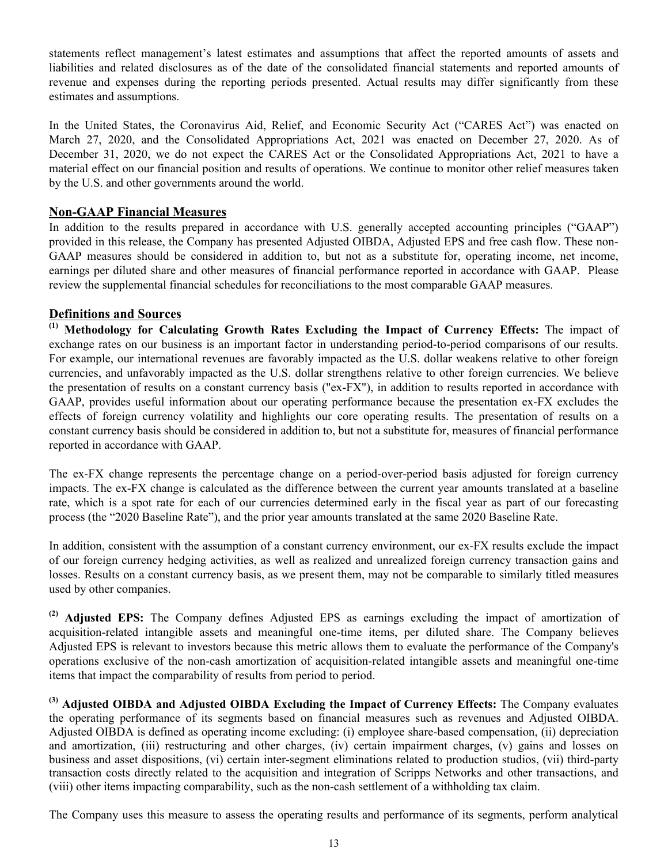statements reflect management's latest estimates and assumptions that affect the reported amounts of assets and liabilities and related disclosures as of the date of the consolidated financial statements and reported amounts of revenue and expenses during the reporting periods presented. Actual results may differ significantly from these estimates and assumptions.

In the United States, the Coronavirus Aid, Relief, and Economic Security Act ("CARES Act") was enacted on March 27, 2020, and the Consolidated Appropriations Act, 2021 was enacted on December 27, 2020. As of December 31, 2020, we do not expect the CARES Act or the Consolidated Appropriations Act, 2021 to have a material effect on our financial position and results of operations. We continue to monitor other relief measures taken by the U.S. and other governments around the world.

# **Non-GAAP Financial Measures**

In addition to the results prepared in accordance with U.S. generally accepted accounting principles ("GAAP") provided in this release, the Company has presented Adjusted OIBDA, Adjusted EPS and free cash flow. These non-GAAP measures should be considered in addition to, but not as a substitute for, operating income, net income, earnings per diluted share and other measures of financial performance reported in accordance with GAAP. Please review the supplemental financial schedules for reconciliations to the most comparable GAAP measures.

# **Definitions and Sources**

**(1) Methodology for Calculating Growth Rates Excluding the Impact of Currency Effects:** The impact of exchange rates on our business is an important factor in understanding period-to-period comparisons of our results. For example, our international revenues are favorably impacted as the U.S. dollar weakens relative to other foreign currencies, and unfavorably impacted as the U.S. dollar strengthens relative to other foreign currencies. We believe the presentation of results on a constant currency basis ("ex-FX"), in addition to results reported in accordance with GAAP, provides useful information about our operating performance because the presentation ex-FX excludes the effects of foreign currency volatility and highlights our core operating results. The presentation of results on a constant currency basis should be considered in addition to, but not a substitute for, measures of financial performance reported in accordance with GAAP.

The ex-FX change represents the percentage change on a period-over-period basis adjusted for foreign currency impacts. The ex-FX change is calculated as the difference between the current year amounts translated at a baseline rate, which is a spot rate for each of our currencies determined early in the fiscal year as part of our forecasting process (the "2020 Baseline Rate"), and the prior year amounts translated at the same 2020 Baseline Rate.

In addition, consistent with the assumption of a constant currency environment, our ex-FX results exclude the impact of our foreign currency hedging activities, as well as realized and unrealized foreign currency transaction gains and losses. Results on a constant currency basis, as we present them, may not be comparable to similarly titled measures used by other companies.

**(2) Adjusted EPS:** The Company defines Adjusted EPS as earnings excluding the impact of amortization of acquisition-related intangible assets and meaningful one-time items, per diluted share. The Company believes Adjusted EPS is relevant to investors because this metric allows them to evaluate the performance of the Company's operations exclusive of the non-cash amortization of acquisition-related intangible assets and meaningful one-time items that impact the comparability of results from period to period.

**(3) Adjusted OIBDA and Adjusted OIBDA Excluding the Impact of Currency Effects:** The Company evaluates the operating performance of its segments based on financial measures such as revenues and Adjusted OIBDA. Adjusted OIBDA is defined as operating income excluding: (i) employee share-based compensation, (ii) depreciation and amortization, (iii) restructuring and other charges, (iv) certain impairment charges, (v) gains and losses on business and asset dispositions, (vi) certain inter-segment eliminations related to production studios, (vii) third-party transaction costs directly related to the acquisition and integration of Scripps Networks and other transactions, and (viii) other items impacting comparability, such as the non-cash settlement of a withholding tax claim.

The Company uses this measure to assess the operating results and performance of its segments, perform analytical